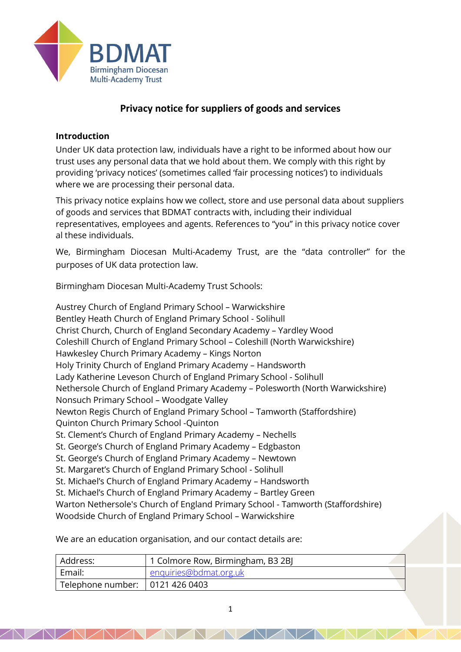

# **Privacy notice for suppliers of goods and services**

### **Introduction**

Under UK data protection law, individuals have a right to be informed about how our trust uses any personal data that we hold about them. We comply with this right by providing 'privacy notices' (sometimes called 'fair processing notices') to individuals where we are processing their personal data.

This privacy notice explains how we collect, store and use personal data about suppliers of goods and services that BDMAT contracts with, including their individual representatives, employees and agents. References to "you" in this privacy notice cover al these individuals.

We, Birmingham Diocesan Multi-Academy Trust, are the "data controller" for the purposes of UK data protection law.

Birmingham Diocesan Multi-Academy Trust Schools:

Austrey Church of England Primary School – Warwickshire Bentley Heath Church of England Primary School - Solihull Christ Church, Church of England Secondary Academy – Yardley Wood Coleshill Church of England Primary School – Coleshill (North Warwickshire) Hawkesley Church Primary Academy – Kings Norton Holy Trinity Church of England Primary Academy – Handsworth Lady Katherine Leveson Church of England Primary School - Solihull Nethersole Church of England Primary Academy – Polesworth (North Warwickshire) Nonsuch Primary School – Woodgate Valley Newton Regis Church of England Primary School – Tamworth (Staffordshire) Quinton Church Primary School -Quinton St. Clement's Church of England Primary Academy – Nechells St. George's Church of England Primary Academy – Edgbaston St. George's Church of England Primary Academy – Newtown St. Margaret's Church of England Primary School - Solihull St. Michael's Church of England Primary Academy – Handsworth St. Michael's Church of England Primary Academy – Bartley Green Warton Nethersole's Church of England Primary School - Tamworth (Staffordshire) Woodside Church of England Primary School – Warwickshire

We are an education organisation, and our contact details are:

| Address:                          | 1 Colmore Row, Birmingham, B3 2BJ |
|-----------------------------------|-----------------------------------|
| Email:                            | enquiries@bdmat.org.uk            |
| Telephone number:   0121 426 0403 |                                   |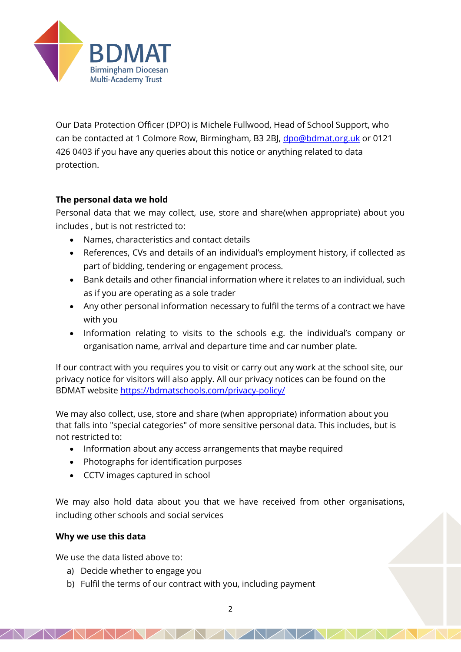

Our Data Protection Officer (DPO) is Michele Fullwood, Head of School Support, who can be contacted at 1 Colmore Row, Birmingham, B3 2BJ, [dpo@bdmat.org.uk](mailto:dpo@bdmat.org.uk) or 0121 426 0403 if you have any queries about this notice or anything related to data protection.

# **The personal data we hold**

Personal data that we may collect, use, store and share(when appropriate) about you includes , but is not restricted to:

- Names, characteristics and contact details
- References, CVs and details of an individual's employment history, if collected as part of bidding, tendering or engagement process.
- Bank details and other financial information where it relates to an individual, such as if you are operating as a sole trader
- Any other personal information necessary to fulfil the terms of a contract we have with you
- Information relating to visits to the schools e.g. the individual's company or organisation name, arrival and departure time and car number plate.

If our contract with you requires you to visit or carry out any work at the school site, our privacy notice for visitors will also apply. All our privacy notices can be found on the BDMAT website<https://bdmatschools.com/privacy-policy/>

We may also collect, use, store and share (when appropriate) information about you that falls into "special categories" of more sensitive personal data. This includes, but is not restricted to:

- Information about any access arrangements that maybe required
- Photographs for identification purposes
- CCTV images captured in school

We may also hold data about you that we have received from other organisations, including other schools and social services

# **Why we use this data**

We use the data listed above to:

- a) Decide whether to engage you
- b) Fulfil the terms of our contract with you, including payment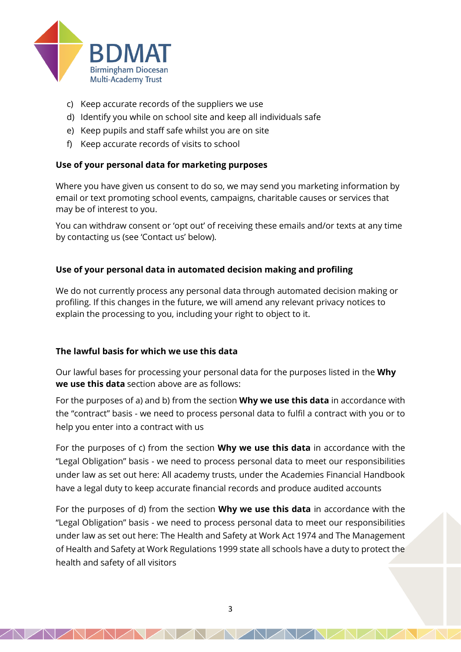

- c) Keep accurate records of the suppliers we use
- d) Identify you while on school site and keep all individuals safe
- e) Keep pupils and staff safe whilst you are on site
- f) Keep accurate records of visits to school

# **Use of your personal data for marketing purposes**

Where you have given us consent to do so, we may send you marketing information by email or text promoting school events, campaigns, charitable causes or services that may be of interest to you.

You can withdraw consent or 'opt out' of receiving these emails and/or texts at any time by contacting us (see 'Contact us' below).

# **Use of your personal data in automated decision making and profiling**

We do not currently process any personal data through automated decision making or profiling. If this changes in the future, we will amend any relevant privacy notices to explain the processing to you, including your right to object to it.

# **The lawful basis for which we use this data**

Our lawful bases for processing your personal data for the purposes listed in the **Why we use this data** section above are as follows:

For the purposes of a) and b) from the section **Why we use this data** in accordance with the "contract" basis - we need to process personal data to fulfil a contract with you or to help you enter into a contract with us

For the purposes of c) from the section **Why we use this data** in accordance with the "Legal Obligation" basis - we need to process personal data to meet our responsibilities under law as set out here: All academy trusts, under the Academies Financial Handbook have a legal duty to keep accurate financial records and produce audited accounts

For the purposes of d) from the section **Why we use this data** in accordance with the "Legal Obligation" basis - we need to process personal data to meet our responsibilities under law as set out here: The Health and Safety at Work Act 1974 and The Management of Health and Safety at Work Regulations 1999 state all schools have a duty to protect the health and safety of all visitors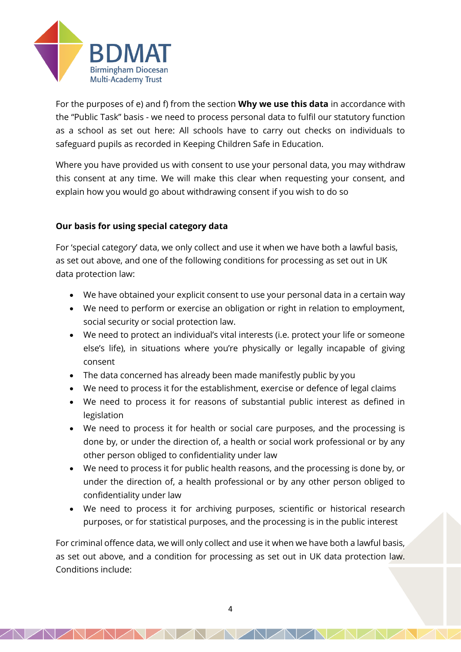

For the purposes of e) and f) from the section **Why we use this data** in accordance with the "Public Task" basis - we need to process personal data to fulfil our statutory function as a school as set out here: All schools have to carry out checks on individuals to safeguard pupils as recorded in Keeping Children Safe in Education.

Where you have provided us with consent to use your personal data, you may withdraw this consent at any time. We will make this clear when requesting your consent, and explain how you would go about withdrawing consent if you wish to do so

# **Our basis for using special category data**

For 'special category' data, we only collect and use it when we have both a lawful basis, as set out above, and one of the following conditions for processing as set out in UK data protection law:

- We have obtained your explicit consent to use your personal data in a certain way
- We need to perform or exercise an obligation or right in relation to employment, social security or social protection law.
- We need to protect an individual's vital interests (i.e. protect your life or someone else's life), in situations where you're physically or legally incapable of giving consent
- The data concerned has already been made manifestly public by you
- We need to process it for the establishment, exercise or defence of legal claims
- We need to process it for reasons of substantial public interest as defined in legislation
- We need to process it for health or social care purposes, and the processing is done by, or under the direction of, a health or social work professional or by any other person obliged to confidentiality under law
- We need to process it for public health reasons, and the processing is done by, or under the direction of, a health professional or by any other person obliged to confidentiality under law
- We need to process it for archiving purposes, scientific or historical research purposes, or for statistical purposes, and the processing is in the public interest

For criminal offence data, we will only collect and use it when we have both a lawful basis, as set out above, and a condition for processing as set out in UK data protection law. Conditions include: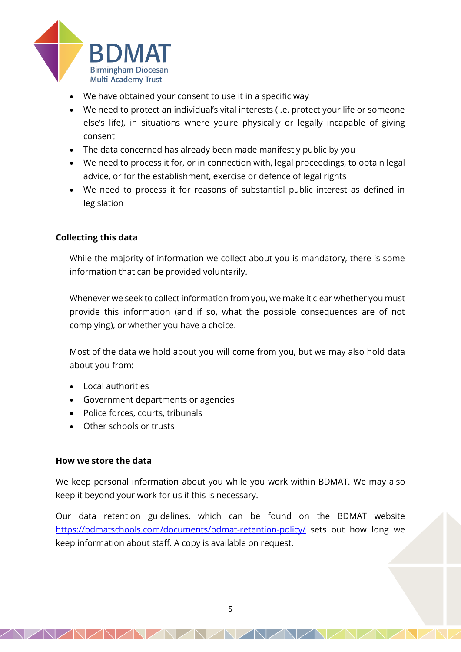

- We have obtained your consent to use it in a specific way
- We need to protect an individual's vital interests (i.e. protect your life or someone else's life), in situations where you're physically or legally incapable of giving consent
- The data concerned has already been made manifestly public by you
- We need to process it for, or in connection with, legal proceedings, to obtain legal advice, or for the establishment, exercise or defence of legal rights
- We need to process it for reasons of substantial public interest as defined in legislation

# **Collecting this data**

While the majority of information we collect about you is mandatory, there is some information that can be provided voluntarily.

Whenever we seek to collect information from you, we make it clear whether you must provide this information (and if so, what the possible consequences are of not complying), or whether you have a choice.

Most of the data we hold about you will come from you, but we may also hold data about you from:

- Local authorities
- Government departments or agencies
- Police forces, courts, tribunals
- Other schools or trusts

#### **How we store the data**

We keep personal information about you while you work within BDMAT. We may also keep it beyond your work for us if this is necessary.

Our data retention guidelines, which can be found on the BDMAT website <https://bdmatschools.com/documents/bdmat-retention-policy/> sets out how long we keep information about staff. A copy is available on request.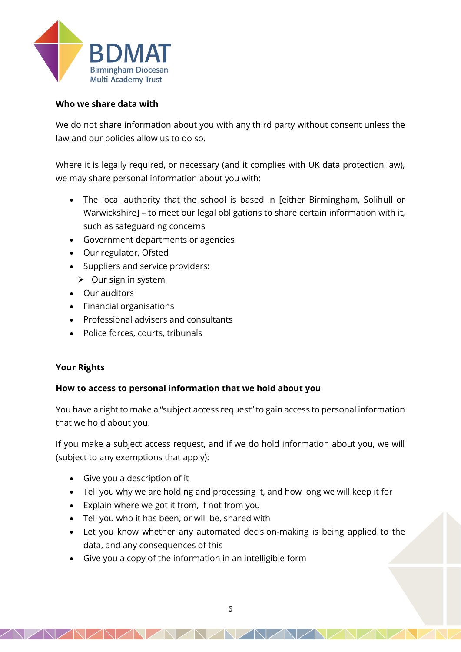

# **Who we share data with**

We do not share information about you with any third party without consent unless the law and our policies allow us to do so.

Where it is legally required, or necessary (and it complies with UK data protection law), we may share personal information about you with:

- The local authority that the school is based in [either Birmingham, Solihull or Warwickshire] – to meet our legal obligations to share certain information with it, such as safeguarding concerns
- Government departments or agencies
- Our regulator, Ofsted
- Suppliers and service providers:
	- ➢ Our sign in system
- Our auditors
- Financial organisations
- Professional advisers and consultants
- Police forces, courts, tribunals

# **Your Rights**

# **How to access to personal information that we hold about you**

You have a right to make a "subject access request" to gain access to personal information that we hold about you.

If you make a subject access request, and if we do hold information about you, we will (subject to any exemptions that apply):

- Give you a description of it
- Tell you why we are holding and processing it, and how long we will keep it for
- Explain where we got it from, if not from you
- Tell you who it has been, or will be, shared with
- Let you know whether any automated decision-making is being applied to the data, and any consequences of this
- Give you a copy of the information in an intelligible form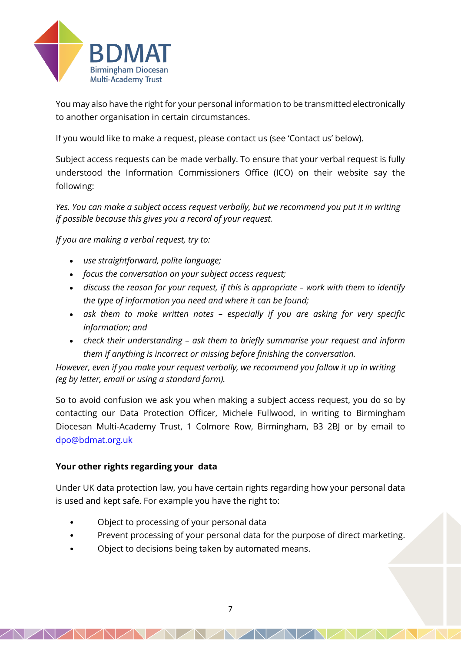

You may also have the right for your personal information to be transmitted electronically to another organisation in certain circumstances.

If you would like to make a request, please contact us (see 'Contact us' below).

Subject access requests can be made verbally. To ensure that your verbal request is fully understood the Information Commissioners Office (ICO) on their website say the following:

*Yes. You can make a subject access request verbally, but we recommend you put it in writing if possible because this gives you a record of your request.*

*If you are making a verbal request, try to:*

- *use straightforward, polite language;*
- *focus the conversation on your subject access request;*
- discuss the reason for your request, if this is appropriate work with them to identify *the type of information you need and where it can be found;*
- *ask them to make written notes – especially if you are asking for very specific information; and*
- *check their understanding – ask them to briefly summarise your request and inform them if anything is incorrect or missing before finishing the conversation.*

*However, even if you make your request verbally, we recommend you follow it up in writing (eg by letter, email or using a standard form).*

So to avoid confusion we ask you when making a subject access request, you do so by contacting our Data Protection Officer, Michele Fullwood, in writing to Birmingham Diocesan Multi-Academy Trust, 1 Colmore Row, Birmingham, B3 2BJ or by email to [dpo@bdmat.org.uk](mailto:dpo@bdmat.org.uk)

# **Your other rights regarding your data**

Under UK data protection law, you have certain rights regarding how your personal data is used and kept safe. For example you have the right to:

- Object to processing of your personal data
- Prevent processing of your personal data for the purpose of direct marketing.
- Object to decisions being taken by automated means.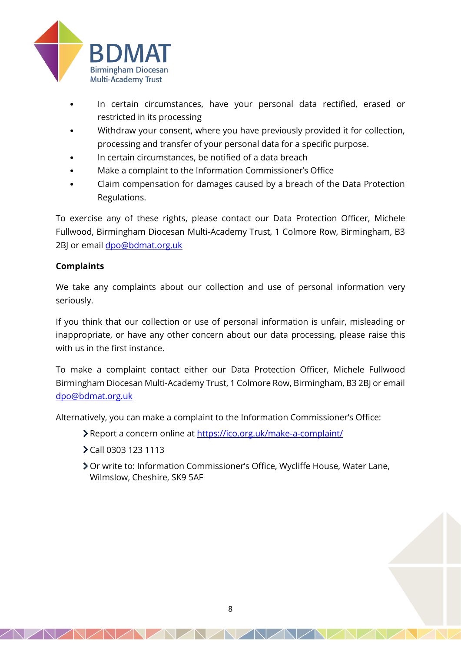

- In certain circumstances, have your personal data rectified, erased or restricted in its processing
- Withdraw your consent, where you have previously provided it for collection, processing and transfer of your personal data for a specific purpose.
- In certain circumstances, be notified of a data breach
- Make a complaint to the Information Commissioner's Office
- Claim compensation for damages caused by a breach of the Data Protection Regulations.

To exercise any of these rights, please contact our Data Protection Officer, Michele Fullwood, Birmingham Diocesan Multi-Academy Trust, 1 Colmore Row, Birmingham, B3 2BJ or email [dpo@bdmat.org.uk](mailto:dpo@bdmat.org.uk)

# **Complaints**

We take any complaints about our collection and use of personal information very seriously.

If you think that our collection or use of personal information is unfair, misleading or inappropriate, or have any other concern about our data processing, please raise this with us in the first instance.

To make a complaint contact either our Data Protection Officer, Michele Fullwood Birmingham Diocesan Multi-Academy Trust, 1 Colmore Row, Birmingham, B3 2BJ or email [dpo@bdmat.org.uk](mailto:dpo@bdmat.org.uk)

Alternatively, you can make a complaint to the Information Commissioner's Office:

- Report a concern online at<https://ico.org.uk/make-a-complaint/>
- Call 0303 123 1113
- Or write to: Information Commissioner's Office, Wycliffe House, Water Lane, Wilmslow, Cheshire, SK9 5AF